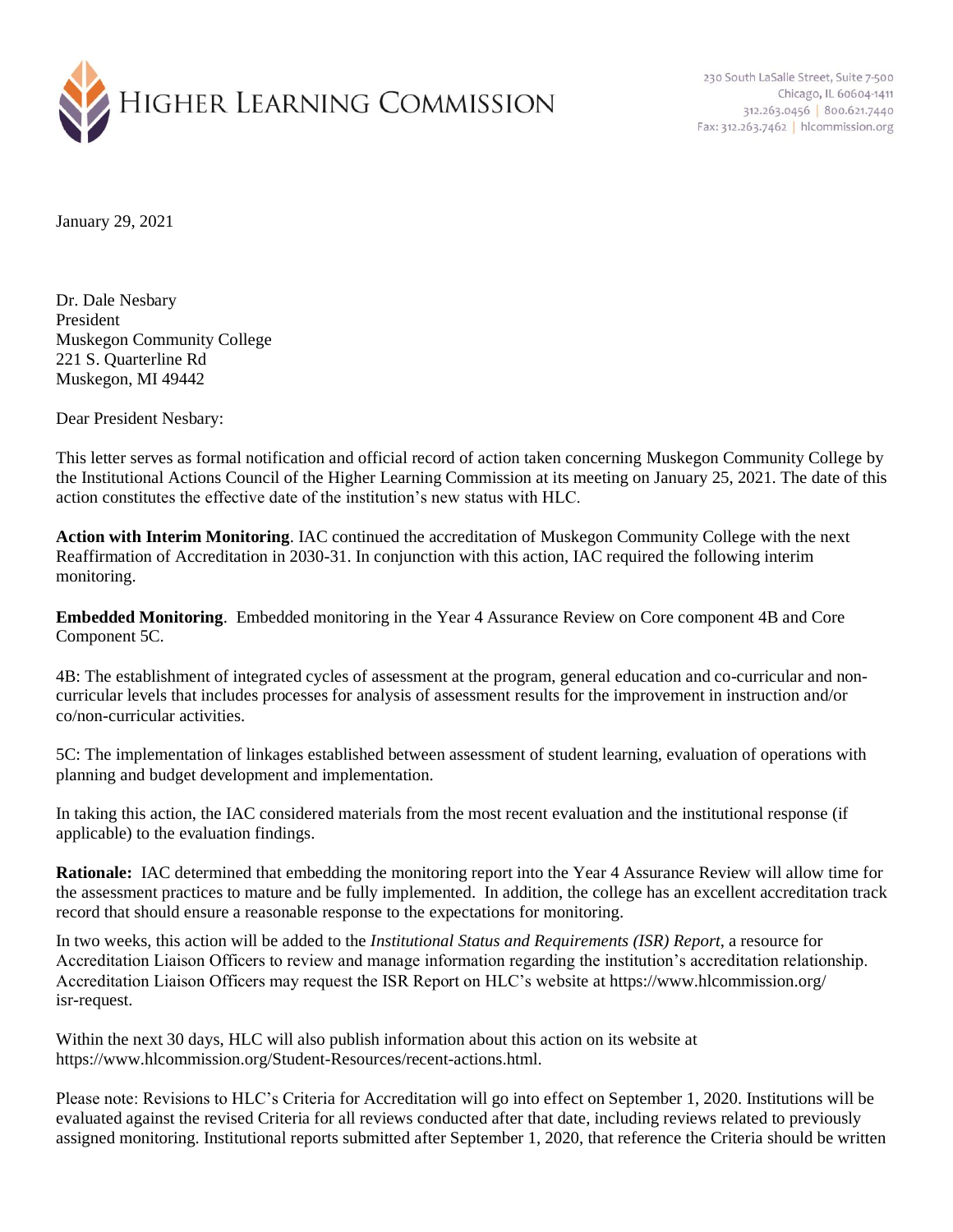

230 South LaSalle Street, Suite 7-500 Chicago, IL 60604-1411 312.263.0456 800.621.7440 Fax: 312.263.7462 | hlcommission.org

January 29, 2021

Dr. Dale Nesbary President Muskegon Community College 221 S. Quarterline Rd Muskegon, MI 49442

Dear President Nesbary:

This letter serves as formal notification and official record of action taken concerning Muskegon Community College by the Institutional Actions Council of the Higher Learning Commission at its meeting on January 25, 2021. The date of this action constitutes the effective date of the institution's new status with HLC.

**Action with Interim Monitoring**. IAC continued the accreditation of Muskegon Community College with the next Reaffirmation of Accreditation in 2030-31. In conjunction with this action, IAC required the following interim monitoring.

**Embedded Monitoring**. Embedded monitoring in the Year 4 Assurance Review on Core component 4B and Core Component 5C.

4B: The establishment of integrated cycles of assessment at the program, general education and co-curricular and noncurricular levels that includes processes for analysis of assessment results for the improvement in instruction and/or co/non-curricular activities.

5C: The implementation of linkages established between assessment of student learning, evaluation of operations with planning and budget development and implementation.

In taking this action, the IAC considered materials from the most recent evaluation and the institutional response (if applicable) to the evaluation findings.

**Rationale:** IAC determined that embedding the monitoring report into the Year 4 Assurance Review will allow time for the assessment practices to mature and be fully implemented. In addition, the college has an excellent accreditation track record that should ensure a reasonable response to the expectations for monitoring.

In two weeks, this action will be added to the *Institutional Status and Requirements (ISR) Report*, a resource for Accreditation Liaison Officers to review and manage information regarding the institution's accreditation relationship. Accreditation Liaison Officers may request the ISR Report on HLC's website at https://www.hlcommission.org/ isr-request.

Within the next 30 days, HLC will also publish information about this action on its website at https://www.hlcommission.org/Student-Resources/recent-actions.html.

Please note: Revisions to HLC's Criteria for Accreditation will go into effect on September 1, 2020. Institutions will be evaluated against the revised Criteria for all reviews conducted after that date, including reviews related to previously assigned monitoring. Institutional reports submitted after September 1, 2020, that reference the Criteria should be written